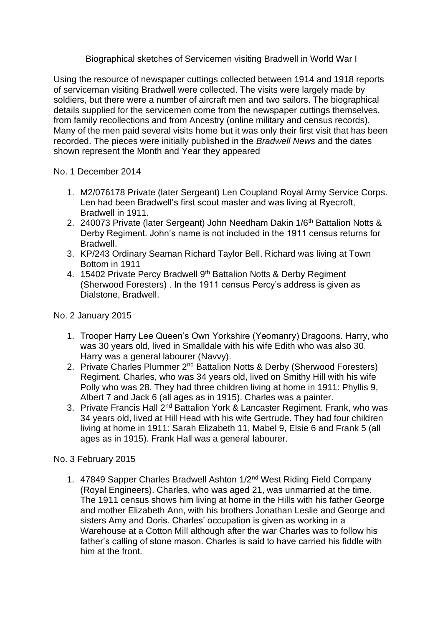Biographical sketches of Servicemen visiting Bradwell in World War I

Using the resource of newspaper cuttings collected between 1914 and 1918 reports of serviceman visiting Bradwell were collected. The visits were largely made by soldiers, but there were a number of aircraft men and two sailors. The biographical details supplied for the servicemen come from the newspaper cuttings themselves, from family recollections and from Ancestry (online military and census records). Many of the men paid several visits home but it was only their first visit that has been recorded. The pieces were initially published in the *Bradwell News* and the dates shown represent the Month and Year they appeared

No. 1 December 2014

- 1. M2/076178 Private (later Sergeant) Len Coupland Royal Army Service Corps. Len had been Bradwell's first scout master and was living at Ryecroft, Bradwell in 1911.
- 2. 240073 Private (later Sergeant) John Needham Dakin 1/6<sup>th</sup> Battalion Notts & Derby Regiment. John's name is not included in the 1911 census returns for Bradwell.
- 3. KP/243 Ordinary Seaman Richard Taylor Bell. Richard was living at Town Bottom in 1911
- 4. 15402 Private Percy Bradwell 9<sup>th</sup> Battalion Notts & Derby Regiment (Sherwood Foresters) . In the 1911 census Percy's address is given as Dialstone, Bradwell.

# No. 2 January 2015

- 1. Trooper Harry Lee Queen's Own Yorkshire (Yeomanry) Dragoons. Harry, who was 30 years old, lived in Smalldale with his wife Edith who was also 30. Harry was a general labourer (Navvy).
- 2. Private Charles Plummer 2<sup>nd</sup> Battalion Notts & Derby (Sherwood Foresters) Regiment. Charles, who was 34 years old, lived on Smithy Hill with his wife Polly who was 28. They had three children living at home in 1911: Phyllis 9, Albert 7 and Jack 6 (all ages as in 1915). Charles was a painter.
- 3. Private Francis Hall 2nd Battalion York & Lancaster Regiment. Frank, who was 34 years old, lived at Hill Head with his wife Gertrude. They had four children living at home in 1911: Sarah Elizabeth 11, Mabel 9, Elsie 6 and Frank 5 (all ages as in 1915). Frank Hall was a general labourer.

# No. 3 February 2015

1. 47849 Sapper Charles Bradwell Ashton 1/2<sup>nd</sup> West Riding Field Company (Royal Engineers). Charles, who was aged 21, was unmarried at the time. The 1911 census shows him living at home in the Hills with his father George and mother Elizabeth Ann, with his brothers Jonathan Leslie and George and sisters Amy and Doris. Charles' occupation is given as working in a Warehouse at a Cotton Mill although after the war Charles was to follow his father's calling of stone mason. Charles is said to have carried his fiddle with him at the front.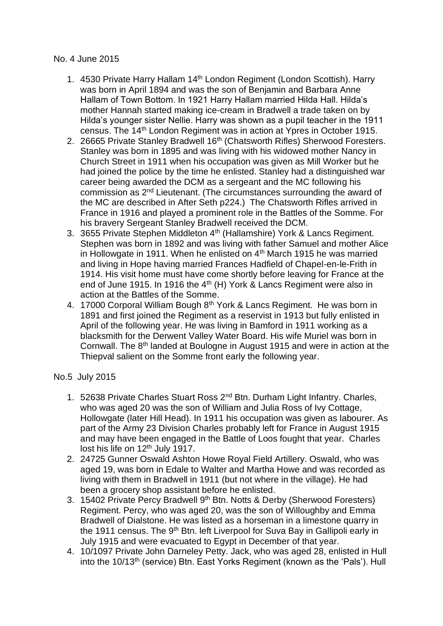### No. 4 June 2015

- 1. 4530 Private Harry Hallam 14<sup>th</sup> London Regiment (London Scottish). Harry was born in April 1894 and was the son of Benjamin and Barbara Anne Hallam of Town Bottom. In 1921 Harry Hallam married Hilda Hall. Hilda's mother Hannah started making ice-cream in Bradwell a trade taken on by Hilda's younger sister Nellie. Harry was shown as a pupil teacher in the 1911 census. The 14th London Regiment was in action at Ypres in October 1915.
- 2. 26665 Private Stanley Bradwell 16<sup>th</sup> (Chatsworth Rifles) Sherwood Foresters. Stanley was born in 1895 and was living with his widowed mother Nancy in Church Street in 1911 when his occupation was given as Mill Worker but he had joined the police by the time he enlisted. Stanley had a distinguished war career being awarded the DCM as a sergeant and the MC following his commission as 2nd Lieutenant. (The circumstances surrounding the award of the MC are described in After Seth p224.) The Chatsworth Rifles arrived in France in 1916 and played a prominent role in the Battles of the Somme. For his bravery Sergeant Stanley Bradwell received the DCM.
- 3. 3655 Private Stephen Middleton 4<sup>th</sup> (Hallamshire) York & Lancs Regiment. Stephen was born in 1892 and was living with father Samuel and mother Alice in Hollowgate in 1911. When he enlisted on 4<sup>th</sup> March 1915 he was married and living in Hope having married Frances Hadfield of Chapel-en-le-Frith in 1914. His visit home must have come shortly before leaving for France at the end of June 1915. In 1916 the  $4<sup>th</sup>$  (H) York & Lancs Regiment were also in action at the Battles of the Somme.
- 4. 17000 Corporal William Bough 8<sup>th</sup> York & Lancs Regiment. He was born in 1891 and first joined the Regiment as a reservist in 1913 but fully enlisted in April of the following year. He was living in Bamford in 1911 working as a blacksmith for the Derwent Valley Water Board. His wife Muriel was born in Cornwall. The 8th landed at Boulogne in August 1915 and were in action at the Thiepval salient on the Somme front early the following year.

## No.5 July 2015

- 1. 52638 Private Charles Stuart Ross 2<sup>nd</sup> Btn. Durham Light Infantry. Charles, who was aged 20 was the son of William and Julia Ross of Ivy Cottage, Hollowgate (later Hill Head). In 1911 his occupation was given as labourer. As part of the Army 23 Division Charles probably left for France in August 1915 and may have been engaged in the Battle of Loos fought that year. Charles lost his life on 12<sup>th</sup> July 1917.
- 2. 24725 Gunner Oswald Ashton Howe Royal Field Artillery. Oswald, who was aged 19, was born in Edale to Walter and Martha Howe and was recorded as living with them in Bradwell in 1911 (but not where in the village). He had been a grocery shop assistant before he enlisted.
- 3. 15402 Private Percy Bradwell 9<sup>th</sup> Btn. Notts & Derby (Sherwood Foresters) Regiment. Percy, who was aged 20, was the son of Willoughby and Emma Bradwell of Dialstone. He was listed as a horseman in a limestone quarry in the 1911 census. The 9<sup>th</sup> Btn. left Liverpool for Suva Bay in Gallipoli early in July 1915 and were evacuated to Egypt in December of that year.
- 4. 10/1097 Private John Darneley Petty. Jack, who was aged 28, enlisted in Hull into the 10/13<sup>th</sup> (service) Btn. East Yorks Regiment (known as the 'Pals'). Hull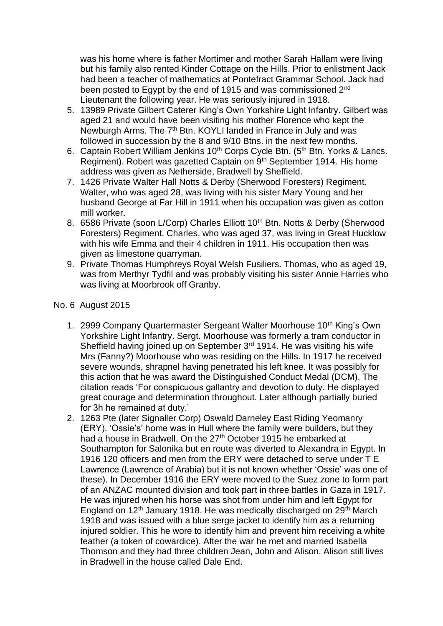was his home where is father Mortimer and mother Sarah Hallam were living but his family also rented Kinder Cottage on the Hills. Prior to enlistment Jack had been a teacher of mathematics at Pontefract Grammar School. Jack had been posted to Egypt by the end of 1915 and was commissioned 2<sup>nd</sup> Lieutenant the following year. He was seriously injured in 1918.

- 5. 13989 Private Gilbert Caterer King's Own Yorkshire Light Infantry. Gilbert was aged 21 and would have been visiting his mother Florence who kept the Newburgh Arms. The 7<sup>th</sup> Btn. KOYLI landed in France in July and was followed in succession by the 8 and 9/10 Btns. in the next few months.
- 6. Captain Robert William Jenkins  $10<sup>th</sup>$  Corps Cycle Btn. (5<sup>th</sup> Btn. Yorks & Lancs. Regiment). Robert was gazetted Captain on 9th September 1914. His home address was given as Netherside, Bradwell by Sheffield.
- 7. 1426 Private Walter Hall Notts & Derby (Sherwood Foresters) Regiment. Walter, who was aged 28, was living with his sister Mary Young and her husband George at Far Hill in 1911 when his occupation was given as cotton mill worker.
- 8. 6586 Private (soon L/Corp) Charles Elliott 10<sup>th</sup> Btn. Notts & Derby (Sherwood Foresters) Regiment. Charles, who was aged 37, was living in Great Hucklow with his wife Emma and their 4 children in 1911. His occupation then was given as limestone quarryman.
- 9. Private Thomas Humphreys Royal Welsh Fusiliers. Thomas, who as aged 19, was from Merthyr Tydfil and was probably visiting his sister Annie Harries who was living at Moorbrook off Granby.

#### No. 6 August 2015

- 1. 2999 Company Quartermaster Sergeant Walter Moorhouse 10<sup>th</sup> King's Own Yorkshire Light Infantry. Sergt. Moorhouse was formerly a tram conductor in Sheffield having joined up on September 3<sup>rd</sup> 1914. He was visiting his wife Mrs (Fanny?) Moorhouse who was residing on the Hills. In 1917 he received severe wounds, shrapnel having penetrated his left knee. It was possibly for this action that he was award the Distinguished Conduct Medal (DCM). The citation reads 'For conspicuous gallantry and devotion to duty. He displayed great courage and determination throughout. Later although partially buried for 3h he remained at duty.'
- 2. 1263 Pte (later Signaller Corp) Oswald Darneley East Riding Yeomanry (ERY). 'Ossie's' home was in Hull where the family were builders, but they had a house in Bradwell. On the 27<sup>th</sup> October 1915 he embarked at Southampton for Salonika but en route was diverted to Alexandra in Egypt. In 1916 120 officers and men from the ERY were detached to serve under T E Lawrence (Lawrence of Arabia) but it is not known whether 'Ossie' was one of these). In December 1916 the ERY were moved to the Suez zone to form part of an ANZAC mounted division and took part in three battles in Gaza in 1917. He was injured when his horse was shot from under him and left Egypt for England on  $12<sup>th</sup>$  January 1918. He was medically discharged on  $29<sup>th</sup>$  March 1918 and was issued with a blue serge jacket to identify him as a returning injured soldier. This he wore to identify him and prevent him receiving a white feather (a token of cowardice). After the war he met and married Isabella Thomson and they had three children Jean, John and Alison. Alison still lives in Bradwell in the house called Dale End.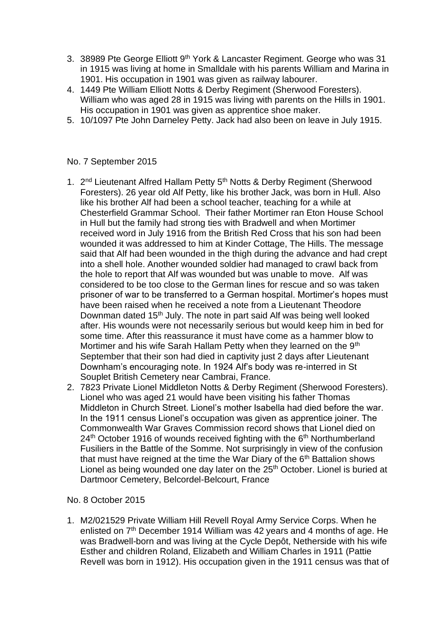- 3. 38989 Pte George Elliott 9<sup>th</sup> York & Lancaster Regiment. George who was 31 in 1915 was living at home in Smalldale with his parents William and Marina in 1901. His occupation in 1901 was given as railway labourer.
- 4. 1449 Pte William Elliott Notts & Derby Regiment (Sherwood Foresters). William who was aged 28 in 1915 was living with parents on the Hills in 1901. His occupation in 1901 was given as apprentice shoe maker.
- 5. 10/1097 Pte John Darneley Petty. Jack had also been on leave in July 1915.

## No. 7 September 2015

- 1. 2<sup>nd</sup> Lieutenant Alfred Hallam Petty 5<sup>th</sup> Notts & Derby Regiment (Sherwood Foresters). 26 year old Alf Petty, like his brother Jack, was born in Hull. Also like his brother Alf had been a school teacher, teaching for a while at Chesterfield Grammar School. Their father Mortimer ran Eton House School in Hull but the family had strong ties with Bradwell and when Mortimer received word in July 1916 from the British Red Cross that his son had been wounded it was addressed to him at Kinder Cottage, The Hills. The message said that Alf had been wounded in the thigh during the advance and had crept into a shell hole. Another wounded soldier had managed to crawl back from the hole to report that Alf was wounded but was unable to move. Alf was considered to be too close to the German lines for rescue and so was taken prisoner of war to be transferred to a German hospital. Mortimer's hopes must have been raised when he received a note from a Lieutenant Theodore Downman dated 15<sup>th</sup> July. The note in part said Alf was being well looked after. His wounds were not necessarily serious but would keep him in bed for some time. After this reassurance it must have come as a hammer blow to Mortimer and his wife Sarah Hallam Petty when they learned on the 9<sup>th</sup> September that their son had died in captivity just 2 days after Lieutenant Downham's encouraging note. In 1924 Alf's body was re-interred in St Souplet British Cemetery near Cambrai, France.
- 2. 7823 Private Lionel Middleton Notts & Derby Regiment (Sherwood Foresters). Lionel who was aged 21 would have been visiting his father Thomas Middleton in Church Street. Lionel's mother Isabella had died before the war. In the 1911 census Lionel's occupation was given as apprentice joiner. The Commonwealth War Graves Commission record shows that Lionel died on 24<sup>th</sup> October 1916 of wounds received fighting with the 6<sup>th</sup> Northumberland Fusiliers in the Battle of the Somme. Not surprisingly in view of the confusion that must have reigned at the time the War Diary of the 6<sup>th</sup> Battalion shows Lionel as being wounded one day later on the 25<sup>th</sup> October. Lionel is buried at Dartmoor Cemetery, Belcordel-Belcourt, France

## No. 8 October 2015

1. M2/021529 Private William Hill Revell Royal Army Service Corps. When he enlisted on  $7<sup>th</sup>$  December 1914 William was 42 years and 4 months of age. He was Bradwell-born and was living at the Cycle Depôt, Netherside with his wife Esther and children Roland, Elizabeth and William Charles in 1911 (Pattie Revell was born in 1912). His occupation given in the 1911 census was that of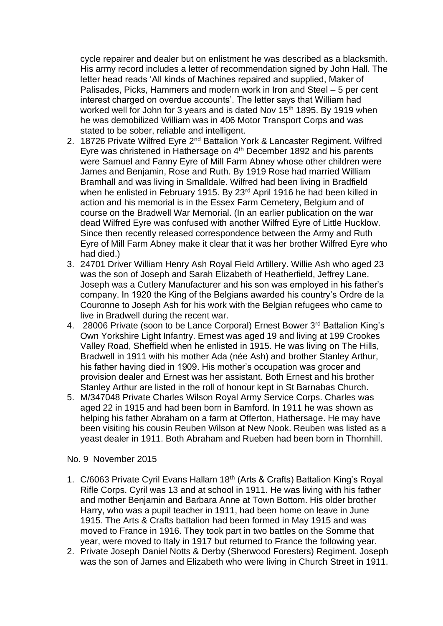cycle repairer and dealer but on enlistment he was described as a blacksmith. His army record includes a letter of recommendation signed by John Hall. The letter head reads 'All kinds of Machines repaired and supplied, Maker of Palisades, Picks, Hammers and modern work in Iron and Steel – 5 per cent interest charged on overdue accounts'. The letter says that William had worked well for John for 3 years and is dated Nov 15<sup>th</sup> 1895. By 1919 when he was demobilized William was in 406 Motor Transport Corps and was stated to be sober, reliable and intelligent.

- 2. 18726 Private Wilfred Eyre 2<sup>nd</sup> Battalion York & Lancaster Regiment. Wilfred Eyre was christened in Hathersage on 4th December 1892 and his parents were Samuel and Fanny Eyre of Mill Farm Abney whose other children were James and Benjamin, Rose and Ruth. By 1919 Rose had married William Bramhall and was living in Smalldale. Wilfred had been living in Bradfield when he enlisted in February 1915. By 23<sup>rd</sup> April 1916 he had been killed in action and his memorial is in the Essex Farm Cemetery, Belgium and of course on the Bradwell War Memorial. (In an earlier publication on the war dead Wilfred Eyre was confused with another Wilfred Eyre of Little Hucklow. Since then recently released correspondence between the Army and Ruth Eyre of Mill Farm Abney make it clear that it was her brother Wilfred Eyre who had died.)
- 3. 24701 Driver William Henry Ash Royal Field Artillery. Willie Ash who aged 23 was the son of Joseph and Sarah Elizabeth of Heatherfield, Jeffrey Lane. Joseph was a Cutlery Manufacturer and his son was employed in his father's company. In 1920 the King of the Belgians awarded his country's Ordre de la Couronne to Joseph Ash for his work with the Belgian refugees who came to live in Bradwell during the recent war.
- 4. 28006 Private (soon to be Lance Corporal) Ernest Bower 3rd Battalion King's Own Yorkshire Light Infantry. Ernest was aged 19 and living at 199 Crookes Valley Road, Sheffield when he enlisted in 1915. He was living on The Hills, Bradwell in 1911 with his mother Ada (née Ash) and brother Stanley Arthur, his father having died in 1909. His mother's occupation was grocer and provision dealer and Ernest was her assistant. Both Ernest and his brother Stanley Arthur are listed in the roll of honour kept in St Barnabas Church.
- 5. M/347048 Private Charles Wilson Royal Army Service Corps. Charles was aged 22 in 1915 and had been born in Bamford. In 1911 he was shown as helping his father Abraham on a farm at Offerton, Hathersage. He may have been visiting his cousin Reuben Wilson at New Nook. Reuben was listed as a yeast dealer in 1911. Both Abraham and Rueben had been born in Thornhill.

#### No. 9 November 2015

- 1. C/6063 Private Cyril Evans Hallam 18th (Arts & Crafts) Battalion King's Royal Rifle Corps. Cyril was 13 and at school in 1911. He was living with his father and mother Benjamin and Barbara Anne at Town Bottom. His older brother Harry, who was a pupil teacher in 1911, had been home on leave in June 1915. The Arts & Crafts battalion had been formed in May 1915 and was moved to France in 1916. They took part in two battles on the Somme that year, were moved to Italy in 1917 but returned to France the following year.
- 2. Private Joseph Daniel Notts & Derby (Sherwood Foresters) Regiment. Joseph was the son of James and Elizabeth who were living in Church Street in 1911.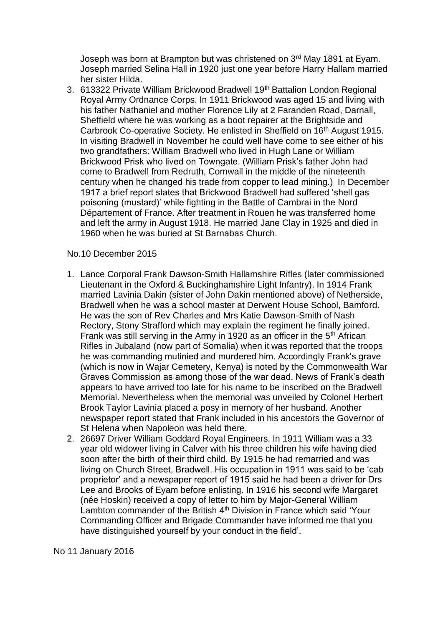Joseph was born at Brampton but was christened on 3<sup>rd</sup> May 1891 at Eyam. Joseph married Selina Hall in 1920 just one year before Harry Hallam married her sister Hilda.

3. 613322 Private William Brickwood Bradwell 19<sup>th</sup> Battalion London Regional Royal Army Ordnance Corps. In 1911 Brickwood was aged 15 and living with his father Nathaniel and mother Florence Lily at 2 Faranden Road, Darnall, Sheffield where he was working as a boot repairer at the Brightside and Carbrook Co-operative Society. He enlisted in Sheffield on 16th August 1915. In visiting Bradwell in November he could well have come to see either of his two grandfathers: William Bradwell who lived in Hugh Lane or William Brickwood Prisk who lived on Towngate. (William Prisk's father John had come to Bradwell from Redruth, Cornwall in the middle of the nineteenth century when he changed his trade from copper to lead mining.) In December 1917 a brief report states that Brickwood Bradwell had suffered 'shell gas poisoning (mustard)' while fighting in the Battle of Cambrai in the [Nord](https://en.wikipedia.org/wiki/Nord_%28d%C3%A9partement%29)  [Département](https://en.wikipedia.org/wiki/Nord_%28d%C3%A9partement%29) of France. After treatment in Rouen he was transferred home and left the army in August 1918. He married Jane Clay in 1925 and died in 1960 when he was buried at St Barnabas Church.

#### No.10 December 2015

- 1. Lance Corporal Frank Dawson-Smith Hallamshire Rifles (later commissioned Lieutenant in the Oxford & Buckinghamshire Light Infantry). In 1914 Frank married Lavinia Dakin (sister of John Dakin mentioned above) of Netherside, Bradwell when he was a school master at Derwent House School, Bamford. He was the son of Rev Charles and Mrs Katie Dawson-Smith of Nash Rectory, Stony Strafford which may explain the regiment he finally joined. Frank was still serving in the Army in 1920 as an officer in the  $5<sup>th</sup>$  African Rifles in Jubaland (now part of Somalia) when it was reported that the troops he was commanding mutinied and murdered him. Accordingly Frank's grave (which is now in Wajar Cemetery, Kenya) is noted by the Commonwealth War Graves Commission as among those of the war dead. News of Frank's death appears to have arrived too late for his name to be inscribed on the Bradwell Memorial. Nevertheless when the memorial was unveiled by Colonel Herbert Brook Taylor Lavinia placed a posy in memory of her husband. Another newspaper report stated that Frank included in his ancestors the Governor of St Helena when Napoleon was held there.
- 2. 26697 Driver William Goddard Royal Engineers. In 1911 William was a 33 year old widower living in Calver with his three children his wife having died soon after the birth of their third child. By 1915 he had remarried and was living on Church Street, Bradwell. His occupation in 1911 was said to be 'cab proprietor' and a newspaper report of 1915 said he had been a driver for Drs Lee and Brooks of Eyam before enlisting. In 1916 his second wife Margaret (née Hoskin) received a copy of letter to him by Major-General William Lambton commander of the British 4<sup>th</sup> Division in France which said 'Your Commanding Officer and Brigade Commander have informed me that you have distinguished yourself by your conduct in the field'.

#### No 11 January 2016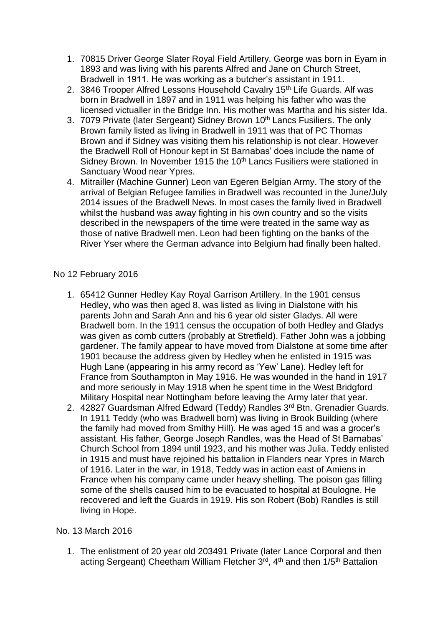- 1. 70815 Driver George Slater Royal Field Artillery. George was born in Eyam in 1893 and was living with his parents Alfred and Jane on Church Street, Bradwell in 1911. He was working as a butcher's assistant in 1911.
- 2. 3846 Trooper Alfred Lessons Household Cavalry 15<sup>th</sup> Life Guards. Alf was born in Bradwell in 1897 and in 1911 was helping his father who was the licensed victualler in the Bridge Inn. His mother was Martha and his sister Ida.
- 3. 7079 Private (later Sergeant) Sidney Brown 10<sup>th</sup> Lancs Fusiliers. The only Brown family listed as living in Bradwell in 1911 was that of PC Thomas Brown and if Sidney was visiting them his relationship is not clear. However the Bradwell Roll of Honour kept in St Barnabas' does include the name of Sidney Brown. In November 1915 the 10<sup>th</sup> Lancs Fusiliers were stationed in Sanctuary Wood near Ypres.
- 4. Mitrailler (Machine Gunner) Leon van Egeren Belgian Army. The story of the arrival of Belgian Refugee families in Bradwell was recounted in the June/July 2014 issues of the Bradwell News. In most cases the family lived in Bradwell whilst the husband was away fighting in his own country and so the visits described in the newspapers of the time were treated in the same way as those of native Bradwell men. Leon had been fighting on the banks of the River Yser where the German advance into Belgium had finally been halted.

## No 12 February 2016

- 1. 65412 Gunner Hedley Kay Royal Garrison Artillery. In the 1901 census Hedley, who was then aged 8, was listed as living in Dialstone with his parents John and Sarah Ann and his 6 year old sister Gladys. All were Bradwell born. In the 1911 census the occupation of both Hedley and Gladys was given as comb cutters (probably at Stretfield). Father John was a jobbing gardener. The family appear to have moved from Dialstone at some time after 1901 because the address given by Hedley when he enlisted in 1915 was Hugh Lane (appearing in his army record as 'Yew' Lane). Hedley left for France from Southampton in May 1916. He was wounded in the hand in 1917 and more seriously in May 1918 when he spent time in the West Bridgford Military Hospital near Nottingham before leaving the Army later that year.
- 2. 42827 Guardsman Alfred Edward (Teddy) Randles 3rd Btn. Grenadier Guards. In 1911 Teddy (who was Bradwell born) was living in Brook Building (where the family had moved from Smithy Hill). He was aged 15 and was a grocer's assistant. His father, George Joseph Randles, was the Head of St Barnabas' Church School from 1894 until 1923, and his mother was Julia. Teddy enlisted in 1915 and must have rejoined his battalion in Flanders near Ypres in March of 1916. Later in the war, in 1918, Teddy was in action east of Amiens in France when his company came under heavy shelling. The poison gas filling some of the shells caused him to be evacuated to hospital at Boulogne. He recovered and left the Guards in 1919. His son Robert (Bob) Randles is still living in Hope.

## No. 13 March 2016

1. The enlistment of 20 year old 203491 Private (later Lance Corporal and then acting Sergeant) Cheetham William Fletcher 3<sup>rd</sup>, 4<sup>th</sup> and then 1/5<sup>th</sup> Battalion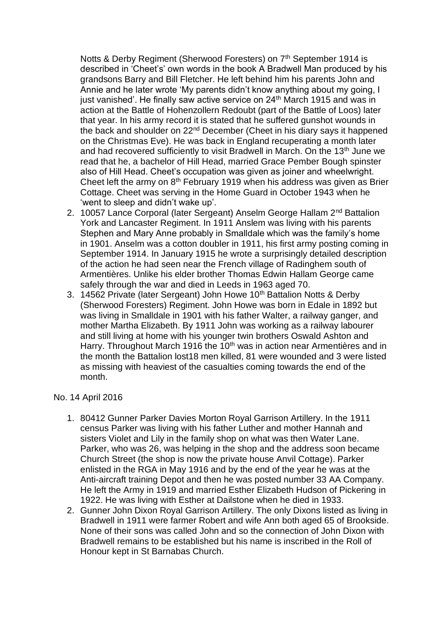Notts & Derby Regiment (Sherwood Foresters) on 7<sup>th</sup> September 1914 is described in 'Cheet's' own words in the book A Bradwell Man produced by his grandsons Barry and Bill Fletcher. He left behind him his parents John and Annie and he later wrote 'My parents didn't know anything about my going, I just vanished'. He finally saw active service on 24<sup>th</sup> March 1915 and was in action at the Battle of Hohenzollern Redoubt (part of the Battle of Loos) later that year. In his army record it is stated that he suffered gunshot wounds in the back and shoulder on 22nd December (Cheet in his diary says it happened on the Christmas Eve). He was back in England recuperating a month later and had recovered sufficiently to visit Bradwell in March. On the 13<sup>th</sup> June we read that he, a bachelor of Hill Head, married Grace Pember Bough spinster also of Hill Head. Cheet's occupation was given as joiner and wheelwright. Cheet left the army on  $8<sup>th</sup>$  February 1919 when his address was given as Brier Cottage. Cheet was serving in the Home Guard in October 1943 when he 'went to sleep and didn't wake up'.

- 2. 10057 Lance Corporal (later Sergeant) Anselm George Hallam 2<sup>nd</sup> Battalion York and Lancaster Regiment. In 1911 Anslem was living with his parents Stephen and Mary Anne probably in Smalldale which was the family's home in 1901. Anselm was a cotton doubler in 1911, his first army posting coming in September 1914. In January 1915 he wrote a surprisingly detailed description of the action he had seen near the French village of Radinghem south of Armentières. Unlike his elder brother Thomas Edwin Hallam George came safely through the war and died in Leeds in 1963 aged 70.
- 3. 14562 Private (later Sergeant) John Howe 10<sup>th</sup> Battalion Notts & Derby (Sherwood Foresters) Regiment. John Howe was born in Edale in 1892 but was living in Smalldale in 1901 with his father Walter, a railway ganger, and mother Martha Elizabeth. By 1911 John was working as a railway labourer and still living at home with his younger twin brothers Oswald Ashton and Harry. Throughout March 1916 the 10<sup>th</sup> was in action near Armentières and in the month the Battalion lost18 men killed, 81 were wounded and 3 were listed as missing with heaviest of the casualties coming towards the end of the month.

## No. 14 April 2016

- 1. 80412 Gunner Parker Davies Morton Royal Garrison Artillery. In the 1911 census Parker was living with his father Luther and mother Hannah and sisters Violet and Lily in the family shop on what was then Water Lane. Parker, who was 26, was helping in the shop and the address soon became Church Street (the shop is now the private house Anvil Cottage). Parker enlisted in the RGA in May 1916 and by the end of the year he was at the Anti-aircraft training Depot and then he was posted number 33 AA Company. He left the Army in 1919 and married Esther Elizabeth Hudson of Pickering in 1922. He was living with Esther at Dailstone when he died in 1933.
- 2. Gunner John Dixon Royal Garrison Artillery. The only Dixons listed as living in Bradwell in 1911 were farmer Robert and wife Ann both aged 65 of Brookside. None of their sons was called John and so the connection of John Dixon with Bradwell remains to be established but his name is inscribed in the Roll of Honour kept in St Barnabas Church.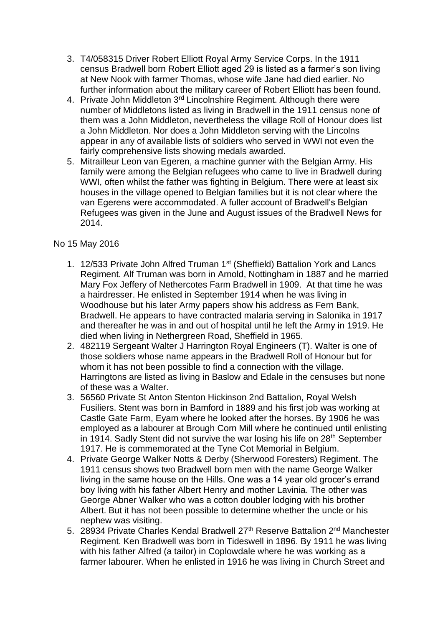- 3. T4/058315 Driver Robert Elliott Royal Army Service Corps. In the 1911 census Bradwell born Robert Elliott aged 29 is listed as a farmer's son living at New Nook with farmer Thomas, whose wife Jane had died earlier. No further information about the military career of Robert Elliott has been found.
- 4. Private John Middleton 3<sup>rd</sup> Lincolnshire Regiment. Although there were number of Middletons listed as living in Bradwell in the 1911 census none of them was a John Middleton, nevertheless the village Roll of Honour does list a John Middleton. Nor does a John Middleton serving with the Lincolns appear in any of available lists of soldiers who served in WWI not even the fairly comprehensive lists showing medals awarded.
- 5. Mitrailleur Leon van Egeren, a machine gunner with the Belgian Army. His family were among the Belgian refugees who came to live in Bradwell during WWI, often whilst the father was fighting in Belgium. There were at least six houses in the village opened to Belgian families but it is not clear where the van Egerens were accommodated. A fuller account of Bradwell's Belgian Refugees was given in the June and August issues of the Bradwell News for 2014.

# No 15 May 2016

- 1. 12/533 Private John Alfred Truman 1st (Sheffield) Battalion York and Lancs Regiment. Alf Truman was born in Arnold, Nottingham in 1887 and he married Mary Fox Jeffery of Nethercotes Farm Bradwell in 1909. At that time he was a hairdresser. He enlisted in September 1914 when he was living in Woodhouse but his later Army papers show his address as Fern Bank, Bradwell. He appears to have contracted malaria serving in Salonika in 1917 and thereafter he was in and out of hospital until he left the Army in 1919. He died when living in Nethergreen Road, Sheffield in 1965.
- 2. 482119 Sergeant Walter J Harrington Royal Engineers (T). Walter is one of those soldiers whose name appears in the Bradwell Roll of Honour but for whom it has not been possible to find a connection with the village. Harringtons are listed as living in Baslow and Edale in the censuses but none of these was a Walter.
- 3. 56560 Private St Anton Stenton Hickinson 2nd Battalion, Royal Welsh Fusiliers. Stent was born in Bamford in 1889 and his first job was working at Castle Gate Farm, Eyam where he looked after the horses. By 1906 he was employed as a labourer at Brough Corn Mill where he continued until enlisting in 1914. Sadly Stent did not survive the war losing his life on 28<sup>th</sup> September 1917. He is commemorated at the Tyne Cot Memorial in Belgium.
- 4. Private George Walker Notts & Derby (Sherwood Foresters) Regiment. The 1911 census shows two Bradwell born men with the name George Walker living in the same house on the Hills. One was a 14 year old grocer's errand boy living with his father Albert Henry and mother Lavinia. The other was George Abner Walker who was a cotton doubler lodging with his brother Albert. But it has not been possible to determine whether the uncle or his nephew was visiting.
- 5. 28934 Private Charles Kendal Bradwell 27<sup>th</sup> Reserve Battalion 2<sup>nd</sup> Manchester Regiment. Ken Bradwell was born in Tideswell in 1896. By 1911 he was living with his father Alfred (a tailor) in Coplowdale where he was working as a farmer labourer. When he enlisted in 1916 he was living in Church Street and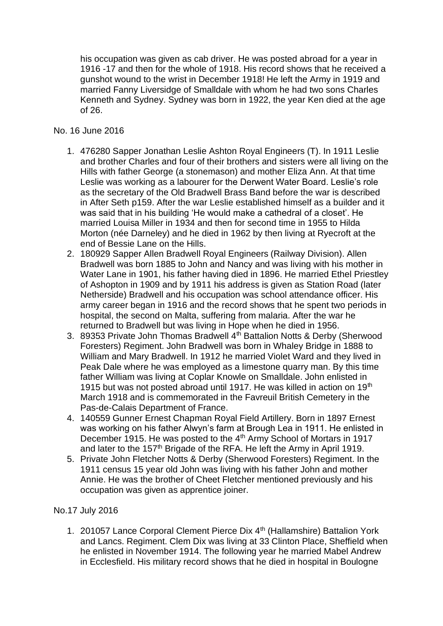his occupation was given as cab driver. He was posted abroad for a year in 1916 -17 and then for the whole of 1918. His record shows that he received a gunshot wound to the wrist in December 1918! He left the Army in 1919 and married Fanny Liversidge of Smalldale with whom he had two sons Charles Kenneth and Sydney. Sydney was born in 1922, the year Ken died at the age of 26.

# No. 16 June 2016

- 1. 476280 Sapper Jonathan Leslie Ashton Royal Engineers (T). In 1911 Leslie and brother Charles and four of their brothers and sisters were all living on the Hills with father George (a stonemason) and mother Eliza Ann. At that time Leslie was working as a labourer for the Derwent Water Board. Leslie's role as the secretary of the Old Bradwell Brass Band before the war is described in After Seth p159. After the war Leslie established himself as a builder and it was said that in his building 'He would make a cathedral of a closet'. He married Louisa Miller in 1934 and then for second time in 1955 to Hilda Morton (née Darneley) and he died in 1962 by then living at Ryecroft at the end of Bessie Lane on the Hills.
- 2. 180929 Sapper Allen Bradwell Royal Engineers (Railway Division). Allen Bradwell was born 1885 to John and Nancy and was living with his mother in Water Lane in 1901, his father having died in 1896. He married Ethel Priestley of Ashopton in 1909 and by 1911 his address is given as Station Road (later Netherside) Bradwell and his occupation was school attendance officer. His army career began in 1916 and the record shows that he spent two periods in hospital, the second on Malta, suffering from malaria. After the war he returned to Bradwell but was living in Hope when he died in 1956.
- 3. 89353 Private John Thomas Bradwell 4<sup>th</sup> Battalion Notts & Derby (Sherwood Foresters) Regiment. John Bradwell was born in Whaley Bridge in 1888 to William and Mary Bradwell. In 1912 he married Violet Ward and they lived in Peak Dale where he was employed as a limestone quarry man. By this time father William was living at Coplar Knowle on Smalldale. John enlisted in 1915 but was not posted abroad until 1917. He was killed in action on 19<sup>th</sup> March 1918 and is commemorated in the Favreuil British Cemetery in the Pas-de-Calais Department of France.
- 4. 140559 Gunner Ernest Chapman Royal Field Artillery. Born in 1897 Ernest was working on his father Alwyn's farm at Brough Lea in 1911. He enlisted in December 1915. He was posted to the 4<sup>th</sup> Army School of Mortars in 1917 and later to the 157<sup>th</sup> Brigade of the RFA. He left the Army in April 1919.
- 5. Private John Fletcher Notts & Derby (Sherwood Foresters) Regiment. In the 1911 census 15 year old John was living with his father John and mother Annie. He was the brother of Cheet Fletcher mentioned previously and his occupation was given as apprentice joiner.

# No.17 July 2016

1. 201057 Lance Corporal Clement Pierce Dix 4<sup>th</sup> (Hallamshire) Battalion York and Lancs. Regiment. Clem Dix was living at 33 Clinton Place, Sheffield when he enlisted in November 1914. The following year he married Mabel Andrew in Ecclesfield. His military record shows that he died in hospital in Boulogne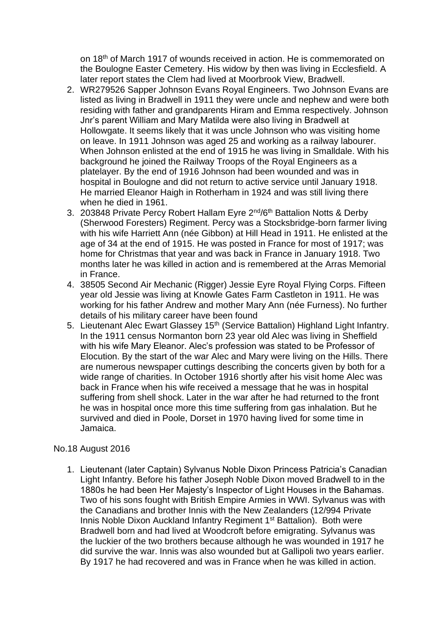on 18th of March 1917 of wounds received in action. He is commemorated on the Boulogne Easter Cemetery. His widow by then was living in Ecclesfield. A later report states the Clem had lived at Moorbrook View, Bradwell.

- 2. WR279526 Sapper Johnson Evans Royal Engineers. Two Johnson Evans are listed as living in Bradwell in 1911 they were uncle and nephew and were both residing with father and grandparents Hiram and Emma respectively. Johnson Jnr's parent William and Mary Matilda were also living in Bradwell at Hollowgate. It seems likely that it was uncle Johnson who was visiting home on leave. In 1911 Johnson was aged 25 and working as a railway labourer. When Johnson enlisted at the end of 1915 he was living in Smalldale. With his background he joined the Railway Troops of the Royal Engineers as a platelayer. By the end of 1916 Johnson had been wounded and was in hospital in Boulogne and did not return to active service until January 1918. He married Eleanor Haigh in Rotherham in 1924 and was still living there when he died in 1961.
- 3. 203848 Private Percy Robert Hallam Eyre 2<sup>nd</sup>/6<sup>th</sup> Battalion Notts & Derby (Sherwood Foresters) Regiment. Percy was a Stocksbridge-born farmer living with his wife Harriett Ann (née Gibbon) at Hill Head in 1911. He enlisted at the age of 34 at the end of 1915. He was posted in France for most of 1917; was home for Christmas that year and was back in France in January 1918. Two months later he was killed in action and is remembered at the Arras Memorial in France.
- 4. 38505 Second Air Mechanic (Rigger) Jessie Eyre Royal Flying Corps. Fifteen year old Jessie was living at Knowle Gates Farm Castleton in 1911. He was working for his father Andrew and mother Mary Ann (née Furness). No further details of his military career have been found
- 5. Lieutenant Alec Ewart Glassey 15<sup>th</sup> (Service Battalion) Highland Light Infantry. In the 1911 census Normanton born 23 year old Alec was living in Sheffield with his wife Mary Eleanor. Alec's profession was stated to be Professor of Elocution. By the start of the war Alec and Mary were living on the Hills. There are numerous newspaper cuttings describing the concerts given by both for a wide range of charities. In October 1916 shortly after his visit home Alec was back in France when his wife received a message that he was in hospital suffering from shell shock. Later in the war after he had returned to the front he was in hospital once more this time suffering from gas inhalation. But he survived and died in Poole, Dorset in 1970 having lived for some time in Jamaica.

## No.18 August 2016

1. Lieutenant (later Captain) Sylvanus Noble Dixon Princess Patricia's Canadian Light Infantry. Before his father Joseph Noble Dixon moved Bradwell to in the 1880s he had been Her Majesty's Inspector of Light Houses in the Bahamas. Two of his sons fought with British Empire Armies in WWI. Sylvanus was with the Canadians and brother Innis with the New Zealanders (12/994 Private Innis Noble Dixon Auckland Infantry Regiment 1<sup>st</sup> Battalion). Both were Bradwell born and had lived at Woodcroft before emigrating. Sylvanus was the luckier of the two brothers because although he was wounded in 1917 he did survive the war. Innis was also wounded but at Gallipoli two years earlier. By 1917 he had recovered and was in France when he was killed in action.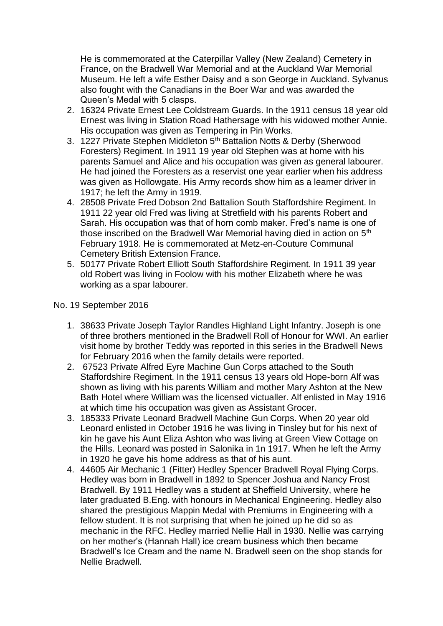He is commemorated at the Caterpillar Valley (New Zealand) Cemetery in France, on the Bradwell War Memorial and at the Auckland War Memorial Museum. He left a wife Esther Daisy and a son George in Auckland. Sylvanus also fought with the Canadians in the Boer War and was awarded the Queen's Medal with 5 clasps.

- 2. 16324 Private Ernest Lee Coldstream Guards. In the 1911 census 18 year old Ernest was living in Station Road Hathersage with his widowed mother Annie. His occupation was given as Tempering in Pin Works.
- 3. 1227 Private Stephen Middleton 5<sup>th</sup> Battalion Notts & Derby (Sherwood Foresters) Regiment. In 1911 19 year old Stephen was at home with his parents Samuel and Alice and his occupation was given as general labourer. He had joined the Foresters as a reservist one year earlier when his address was given as Hollowgate. His Army records show him as a learner driver in 1917; he left the Army in 1919.
- 4. 28508 Private Fred Dobson 2nd Battalion South Staffordshire Regiment. In 1911 22 year old Fred was living at Stretfield with his parents Robert and Sarah. His occupation was that of horn comb maker. Fred's name is one of those inscribed on the Bradwell War Memorial having died in action on 5<sup>th</sup> February 1918. He is commemorated at Metz-en-Couture Communal Cemetery British Extension France.
- 5. 50177 Private Robert Elliott South Staffordshire Regiment. In 1911 39 year old Robert was living in Foolow with his mother Elizabeth where he was working as a spar labourer.

## No. 19 September 2016

- 1. 38633 Private Joseph Taylor Randles Highland Light Infantry. Joseph is one of three brothers mentioned in the Bradwell Roll of Honour for WWI. An earlier visit home by brother Teddy was reported in this series in the Bradwell News for February 2016 when the family details were reported.
- 2. 67523 Private Alfred Eyre Machine Gun Corps attached to the South Staffordshire Regiment. In the 1911 census 13 years old Hope-born Alf was shown as living with his parents William and mother Mary Ashton at the New Bath Hotel where William was the licensed victualler. Alf enlisted in May 1916 at which time his occupation was given as Assistant Grocer.
- 3. 185333 Private Leonard Bradwell Machine Gun Corps. When 20 year old Leonard enlisted in October 1916 he was living in Tinsley but for his next of kin he gave his Aunt Eliza Ashton who was living at Green View Cottage on the Hills. Leonard was posted in Salonika in 1n 1917. When he left the Army in 1920 he gave his home address as that of his aunt.
- 4. 44605 Air Mechanic 1 (Fitter) Hedley Spencer Bradwell Royal Flying Corps. Hedley was born in Bradwell in 1892 to Spencer Joshua and Nancy Frost Bradwell. By 1911 Hedley was a student at Sheffield University, where he later graduated B.Eng. with honours in Mechanical Engineering. Hedley also shared the prestigious Mappin Medal with Premiums in Engineering with a fellow student. It is not surprising that when he joined up he did so as mechanic in the RFC. Hedley married Nellie Hall in 1930. Nellie was carrying on her mother's (Hannah Hall) ice cream business which then became Bradwell's Ice Cream and the name N. Bradwell seen on the shop stands for Nellie Bradwell.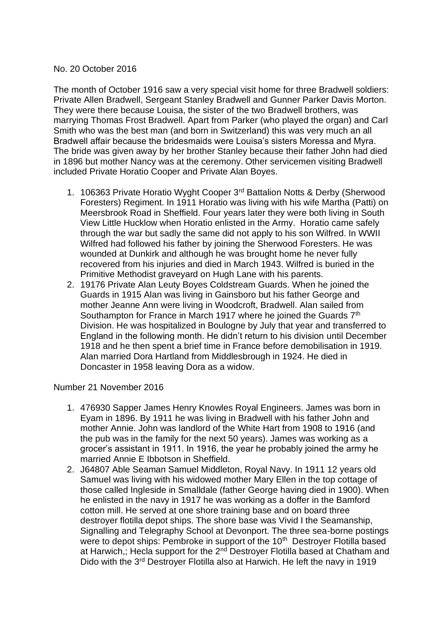### No. 20 October 2016

The month of October 1916 saw a very special visit home for three Bradwell soldiers: Private Allen Bradwell, Sergeant Stanley Bradwell and Gunner Parker Davis Morton. They were there because Louisa, the sister of the two Bradwell brothers, was marrying Thomas Frost Bradwell. Apart from Parker (who played the organ) and Carl Smith who was the best man (and born in Switzerland) this was very much an all Bradwell affair because the bridesmaids were Louisa's sisters Moressa and Myra. The bride was given away by her brother Stanley because their father John had died in 1896 but mother Nancy was at the ceremony. Other servicemen visiting Bradwell included Private Horatio Cooper and Private Alan Boyes.

- 1. 106363 Private Horatio Wyght Cooper 3rd Battalion Notts & Derby (Sherwood Foresters) Regiment. In 1911 Horatio was living with his wife Martha (Patti) on Meersbrook Road in Sheffield. Four years later they were both living in South View Little Hucklow when Horatio enlisted in the Army. Horatio came safely through the war but sadly the same did not apply to his son Wilfred. In WWII Wilfred had followed his father by joining the Sherwood Foresters. He was wounded at Dunkirk and although he was brought home he never fully recovered from his injuries and died in March 1943. Wilfred is buried in the Primitive Methodist graveyard on Hugh Lane with his parents.
- 2. 19176 Private Alan Leuty Boyes Coldstream Guards. When he joined the Guards in 1915 Alan was living in Gainsboro but his father George and mother Jeanne Ann were living in Woodcroft, Bradwell. Alan sailed from Southampton for France in March 1917 where he joined the Guards 7<sup>th</sup> Division. He was hospitalized in Boulogne by July that year and transferred to England in the following month. He didn't return to his division until December 1918 and he then spent a brief time in France before demobilisation in 1919. Alan married Dora Hartland from Middlesbrough in 1924. He died in Doncaster in 1958 leaving Dora as a widow.

Number 21 November 2016

- 1. 476930 Sapper James Henry Knowles Royal Engineers. James was born in Eyam in 1896. By 1911 he was living in Bradwell with his father John and mother Annie. John was landlord of the White Hart from 1908 to 1916 (and the pub was in the family for the next 50 years). James was working as a grocer's assistant in 1911. In 1916, the year he probably joined the army he married Annie E Ibbotson in Sheffield.
- 2. J64807 Able Seaman Samuel Middleton, Royal Navy. In 1911 12 years old Samuel was living with his widowed mother Mary Ellen in the top cottage of those called Ingleside in Smalldale (father George having died in 1900). When he enlisted in the navy in 1917 he was working as a doffer in the Bamford cotton mill. He served at one shore training base and on board three destroyer flotilla depot ships. The shore base was Vivid I the Seamanship, Signalling and Telegraphy School at Devonport. The three sea-borne postings were to depot ships: Pembroke in support of the 10<sup>th</sup> Destroyer Flotilla based at Harwich,; Hecla support for the 2<sup>nd</sup> Destroyer Flotilla based at Chatham and Dido with the 3<sup>rd</sup> Destroyer Flotilla also at Harwich. He left the navy in 1919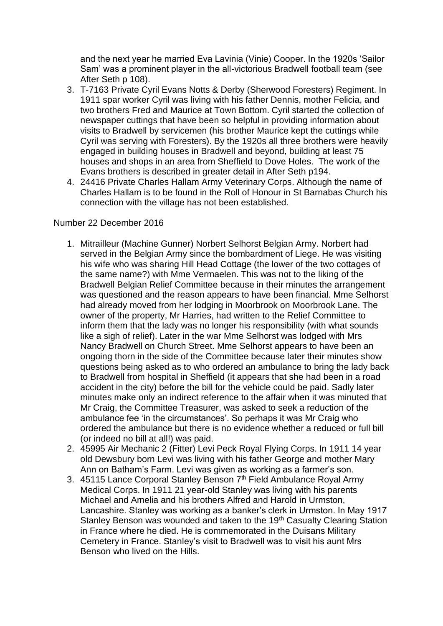and the next year he married Eva Lavinia (Vinie) Cooper. In the 1920s 'Sailor Sam' was a prominent player in the all-victorious Bradwell football team (see After Seth p 108).

- 3. T-7163 Private Cyril Evans Notts & Derby (Sherwood Foresters) Regiment. In 1911 spar worker Cyril was living with his father Dennis, mother Felicia, and two brothers Fred and Maurice at Town Bottom. Cyril started the collection of newspaper cuttings that have been so helpful in providing information about visits to Bradwell by servicemen (his brother Maurice kept the cuttings while Cyril was serving with Foresters). By the 1920s all three brothers were heavily engaged in building houses in Bradwell and beyond, building at least 75 houses and shops in an area from Sheffield to Dove Holes. The work of the Evans brothers is described in greater detail in After Seth p194.
- 4. 24416 Private Charles Hallam Army Veterinary Corps. Although the name of Charles Hallam is to be found in the Roll of Honour in St Barnabas Church his connection with the village has not been established.

## Number 22 December 2016

- 1. Mitrailleur (Machine Gunner) Norbert Selhorst Belgian Army. Norbert had served in the Belgian Army since the bombardment of Liege. He was visiting his wife who was sharing Hill Head Cottage (the lower of the two cottages of the same name?) with Mme Vermaelen. This was not to the liking of the Bradwell Belgian Relief Committee because in their minutes the arrangement was questioned and the reason appears to have been financial. Mme Selhorst had already moved from her lodging in Moorbrook on Moorbrook Lane. The owner of the property, Mr Harries, had written to the Relief Committee to inform them that the lady was no longer his responsibility (with what sounds like a sigh of relief). Later in the war Mme Selhorst was lodged with Mrs Nancy Bradwell on Church Street. Mme Selhorst appears to have been an ongoing thorn in the side of the Committee because later their minutes show questions being asked as to who ordered an ambulance to bring the lady back to Bradwell from hospital in Sheffield (it appears that she had been in a road accident in the city) before the bill for the vehicle could be paid. Sadly later minutes make only an indirect reference to the affair when it was minuted that Mr Craig, the Committee Treasurer, was asked to seek a reduction of the ambulance fee 'in the circumstances'. So perhaps it was Mr Craig who ordered the ambulance but there is no evidence whether a reduced or full bill (or indeed no bill at all!) was paid.
- 2. 45995 Air Mechanic 2 (Fitter) Levi Peck Royal Flying Corps. In 1911 14 year old Dewsbury born Levi was living with his father George and mother Mary Ann on Batham's Farm. Levi was given as working as a farmer's son.
- 3. 45115 Lance Corporal Stanley Benson  $7<sup>th</sup>$  Field Ambulance Royal Army Medical Corps. In 1911 21 year-old Stanley was living with his parents Michael and Amelia and his brothers Alfred and Harold in Urmston, Lancashire. Stanley was working as a banker's clerk in Urmston. In May 1917 Stanley Benson was wounded and taken to the 19<sup>th</sup> Casualty Clearing Station in France where he died. He is commemorated in the Duisans Military Cemetery in France. Stanley's visit to Bradwell was to visit his aunt Mrs Benson who lived on the Hills.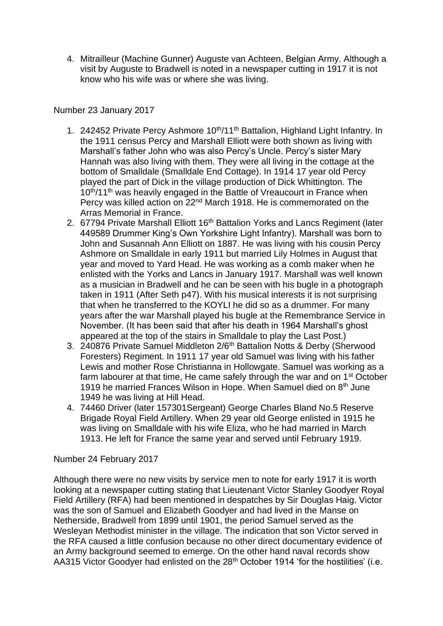4. Mitrailleur (Machine Gunner) Auguste van Achteen, Belgian Army. Although a visit by Auguste to Bradwell is noted in a newspaper cutting in 1917 it is not know who his wife was or where she was living.

# Number 23 January 2017

- 1. 242452 Private Percy Ashmore 10<sup>th</sup>/11<sup>th</sup> Battalion, Highland Light Infantry. In the 1911 census Percy and Marshall Elliott were both shown as living with Marshall's father John who was also Percy's Uncle. Percy's sister Mary Hannah was also living with them. They were all living in the cottage at the bottom of Smalldale (Smalldale End Cottage). In 1914 17 year old Percy played the part of Dick in the village production of Dick Whittington. The 10<sup>th</sup>/11<sup>th</sup> was heavily engaged in the Battle of Vreaucourt in France when Percy was killed action on 22<sup>nd</sup> March 1918. He is commemorated on the Arras Memorial in France.
- 2. 67794 Private Marshall Elliott 16<sup>th</sup> Battalion Yorks and Lancs Regiment (later 449589 Drummer King's Own Yorkshire Light Infantry). Marshall was born to John and Susannah Ann Elliott on 1887. He was living with his cousin Percy Ashmore on Smalldale in early 1911 but married Lily Holmes in August that year and moved to Yard Head. He was working as a comb maker when he enlisted with the Yorks and Lancs in January 1917. Marshall was well known as a musician in Bradwell and he can be seen with his bugle in a photograph taken in 1911 (After Seth p47). With his musical interests it is not surprising that when he transferred to the KOYLI he did so as a drummer. For many years after the war Marshall played his bugle at the Remembrance Service in November. (It has been said that after his death in 1964 Marshall's ghost appeared at the top of the stairs in Smalldale to play the Last Post.)
- 3. 240876 Private Samuel Middleton 2/6<sup>th</sup> Battalion Notts & Derby (Sherwood Foresters) Regiment. In 1911 17 year old Samuel was living with his father Lewis and mother Rose Christianna in Hollowgate. Samuel was working as a farm labourer at that time, He came safely through the war and on 1<sup>st</sup> October 1919 he married Frances Wilson in Hope. When Samuel died on  $8<sup>th</sup>$  June 1949 he was living at Hill Head.
- 4. 74460 Driver (later 157301Sergeant) George Charles Bland No.5 Reserve Brigade Royal Field Artillery. When 29 year old George enlisted in 1915 he was living on Smalldale with his wife Eliza, who he had married in March 1913. He left for France the same year and served until February 1919.

## Number 24 February 2017

Although there were no new visits by service men to note for early 1917 it is worth looking at a newspaper cutting stating that Lieutenant Victor Stanley Goodyer Royal Field Artillery (RFA) had been mentioned in despatches by Sir Douglas Haig. Victor was the son of Samuel and Elizabeth Goodyer and had lived in the Manse on Netherside, Bradwell from 1899 until 1901, the period Samuel served as the Wesleyan Methodist minister in the village. The indication that son Victor served in the RFA caused a little confusion because no other direct documentary evidence of an Army background seemed to emerge. On the other hand naval records show AA315 Victor Goodyer had enlisted on the 28<sup>th</sup> October 1914 'for the hostilities' (i.e.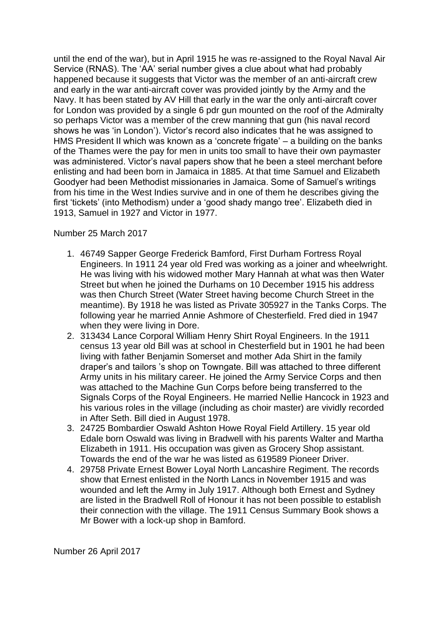until the end of the war), but in April 1915 he was re-assigned to the Royal Naval Air Service (RNAS). The 'AA' serial number gives a clue about what had probably happened because it suggests that Victor was the member of an anti-aircraft crew and early in the war anti-aircraft cover was provided jointly by the Army and the Navy. It has been stated by AV Hill that early in the war the only anti-aircraft cover for London was provided by a single 6 pdr gun mounted on the roof of the Admiralty so perhaps Victor was a member of the crew manning that gun (his naval record shows he was 'in London'). Victor's record also indicates that he was assigned to HMS President II which was known as a 'concrete frigate' – a building on the banks of the Thames were the pay for men in units too small to have their own paymaster was administered. Victor's naval papers show that he been a steel merchant before enlisting and had been born in Jamaica in 1885. At that time Samuel and Elizabeth Goodyer had been Methodist missionaries in Jamaica. Some of Samuel's writings from his time in the West Indies survive and in one of them he describes giving the first 'tickets' (into Methodism) under a 'good shady mango tree'. Elizabeth died in 1913, Samuel in 1927 and Victor in 1977.

## Number 25 March 2017

- 1. 46749 Sapper George Frederick Bamford, First Durham Fortress Royal Engineers. In 1911 24 year old Fred was working as a joiner and wheelwright. He was living with his widowed mother Mary Hannah at what was then Water Street but when he joined the Durhams on 10 December 1915 his address was then Church Street (Water Street having become Church Street in the meantime). By 1918 he was listed as Private 305927 in the Tanks Corps. The following year he married Annie Ashmore of Chesterfield. Fred died in 1947 when they were living in Dore.
- 2. 313434 Lance Corporal William Henry Shirt Royal Engineers. In the 1911 census 13 year old Bill was at school in Chesterfield but in 1901 he had been living with father Benjamin Somerset and mother Ada Shirt in the family draper's and tailors 's shop on Towngate. Bill was attached to three different Army units in his military career. He joined the Army Service Corps and then was attached to the Machine Gun Corps before being transferred to the Signals Corps of the Royal Engineers. He married Nellie Hancock in 1923 and his various roles in the village (including as choir master) are vividly recorded in After Seth. Bill died in August 1978.
- 3. 24725 Bombardier Oswald Ashton Howe Royal Field Artillery. 15 year old Edale born Oswald was living in Bradwell with his parents Walter and Martha Elizabeth in 1911. His occupation was given as Grocery Shop assistant. Towards the end of the war he was listed as 619589 Pioneer Driver.
- 4. 29758 Private Ernest Bower Loyal North Lancashire Regiment. The records show that Ernest enlisted in the North Lancs in November 1915 and was wounded and left the Army in July 1917. Although both Ernest and Sydney are listed in the Bradwell Roll of Honour it has not been possible to establish their connection with the village. The 1911 Census Summary Book shows a Mr Bower with a lock-up shop in Bamford.

Number 26 April 2017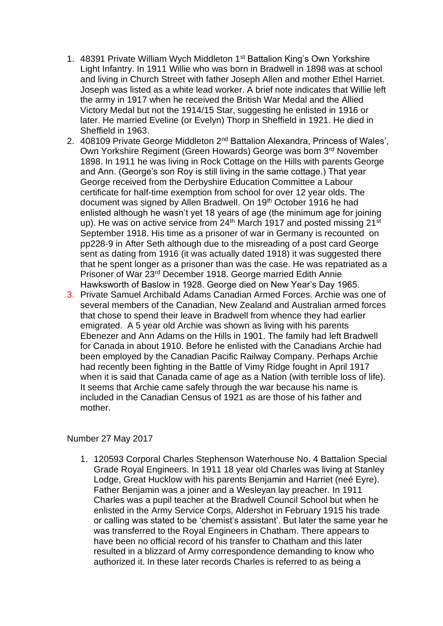- 1. 48391 Private William Wych Middleton 1<sup>st</sup> Battalion King's Own Yorkshire Light Infantry. In 1911 Willie who was born in Bradwell in 1898 was at school and living in Church Street with father Joseph Allen and mother Ethel Harriet. Joseph was listed as a white lead worker. A brief note indicates that Willie left the army in 1917 when he received the British War Medal and the Allied Victory Medal but not the 1914/15 Star, suggesting he enlisted in 1916 or later. He married Eveline (or Evelyn) Thorp in Sheffield in 1921. He died in Sheffield in 1963.
- 2. 408109 Private George Middleton 2<sup>nd</sup> Battalion Alexandra, Princess of Wales', Own Yorkshire Regiment (Green Howards) George was born 3rd November 1898. In 1911 he was living in Rock Cottage on the Hills with parents George and Ann. (George's son Roy is still living in the same cottage.) That year George received from the Derbyshire Education Committee a Labour certificate for half-time exemption from school for over 12 year olds. The document was signed by Allen Bradwell. On 19<sup>th</sup> October 1916 he had enlisted although he wasn't yet 18 years of age (the minimum age for joining up). He was on active service from 24<sup>th</sup> March 1917 and posted missing 21<sup>st</sup> September 1918. His time as a prisoner of war in Germany is recounted on pp228-9 in After Seth although due to the misreading of a post card George sent as dating from 1916 (it was actually dated 1918) it was suggested there that he spent longer as a prisoner than was the case. He was repatriated as a Prisoner of War 23rd December 1918. George married Edith Annie Hawksworth of Baslow in 1928. George died on New Year's Day 1965.
- 3. Private Samuel Archibald Adams Canadian Armed Forces. Archie was one of several members of the Canadian, New Zealand and Australian armed forces that chose to spend their leave in Bradwell from whence they had earlier emigrated. A 5 year old Archie was shown as living with his parents Ebenezer and Ann Adams on the Hills in 1901. The family had left Bradwell for Canada in about 1910. Before he enlisted with the Canadians Archie had been employed by the Canadian Pacific Railway Company. Perhaps Archie had recently been fighting in the Battle of Vimy Ridge fought in April 1917 when it is said that Canada came of age as a Nation (with terrible loss of life). It seems that Archie came safely through the war because his name is included in the Canadian Census of 1921 as are those of his father and mother.

## Number 27 May 2017

1. 120593 Corporal Charles Stephenson Waterhouse No. 4 Battalion Special Grade Royal Engineers. In 1911 18 year old Charles was living at Stanley Lodge, Great Hucklow with his parents Benjamin and Harriet (neé Eyre). Father Benjamin was a joiner and a Wesleyan lay preacher. In 1911 Charles was a pupil teacher at the Bradwell Council School but when he enlisted in the Army Service Corps, Aldershot in February 1915 his trade or calling was stated to be 'chemist's assistant'. But later the same year he was transferred to the Royal Engineers in Chatham. There appears to have been no official record of his transfer to Chatham and this later resulted in a blizzard of Army correspondence demanding to know who authorized it. In these later records Charles is referred to as being a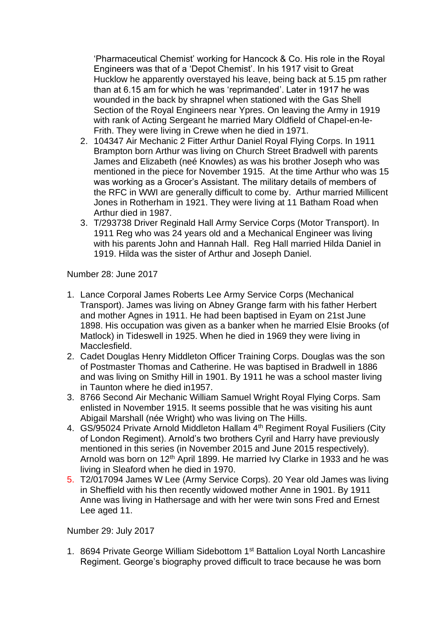'Pharmaceutical Chemist' working for Hancock & Co. His role in the Royal Engineers was that of a 'Depot Chemist'. In his 1917 visit to Great Hucklow he apparently overstayed his leave, being back at 5.15 pm rather than at 6.15 am for which he was 'reprimanded'. Later in 1917 he was wounded in the back by shrapnel when stationed with the Gas Shell Section of the Royal Engineers near Ypres. On leaving the Army in 1919 with rank of Acting Sergeant he married Mary Oldfield of Chapel-en-le-Frith. They were living in Crewe when he died in 1971.

- 2. 104347 Air Mechanic 2 Fitter Arthur Daniel Royal Flying Corps. In 1911 Brampton born Arthur was living on Church Street Bradwell with parents James and Elizabeth (neé Knowles) as was his brother Joseph who was mentioned in the piece for November 1915. At the time Arthur who was 15 was working as a Grocer's Assistant. The military details of members of the RFC in WWI are generally difficult to come by. Arthur married Millicent Jones in Rotherham in 1921. They were living at 11 Batham Road when Arthur died in 1987.
- 3. T/293738 Driver Reginald Hall Army Service Corps (Motor Transport). In 1911 Reg who was 24 years old and a Mechanical Engineer was living with his parents John and Hannah Hall. Reg Hall married Hilda Daniel in 1919. Hilda was the sister of Arthur and Joseph Daniel.

Number 28: June 2017

- 1. Lance Corporal James Roberts Lee Army Service Corps (Mechanical Transport). James was living on Abney Grange farm with his father Herbert and mother Agnes in 1911. He had been baptised in Eyam on 21st June 1898. His occupation was given as a banker when he married Elsie Brooks (of Matlock) in Tideswell in 1925. When he died in 1969 they were living in Macclesfield.
- 2. Cadet Douglas Henry Middleton Officer Training Corps. Douglas was the son of Postmaster Thomas and Catherine. He was baptised in Bradwell in 1886 and was living on Smithy Hill in 1901. By 1911 he was a school master living in Taunton where he died in1957.
- 3. 8766 Second Air Mechanic William Samuel Wright Royal Flying Corps. Sam enlisted in November 1915. It seems possible that he was visiting his aunt Abigail Marshall (née Wright) who was living on The Hills.
- 4. GS/95024 Private Arnold Middleton Hallam 4<sup>th</sup> Regiment Royal Fusiliers (City of London Regiment). Arnold's two brothers Cyril and Harry have previously mentioned in this series (in November 2015 and June 2015 respectively). Arnold was born on  $12<sup>th</sup>$  April 1899. He married Ivy Clarke in 1933 and he was living in Sleaford when he died in 1970.
- 5. T2/017094 James W Lee (Army Service Corps). 20 Year old James was living in Sheffield with his then recently widowed mother Anne in 1901. By 1911 Anne was living in Hathersage and with her were twin sons Fred and Ernest Lee aged 11.

Number 29: July 2017

1. 8694 Private George William Sidebottom 1<sup>st</sup> Battalion Loyal North Lancashire Regiment. George's biography proved difficult to trace because he was born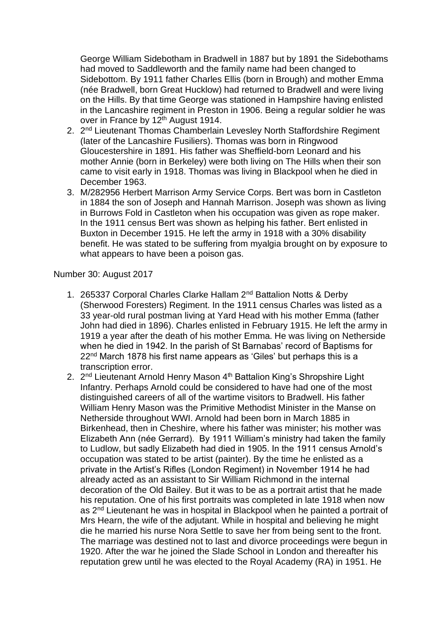George William Sidebotham in Bradwell in 1887 but by 1891 the Sidebothams had moved to Saddleworth and the family name had been changed to Sidebottom. By 1911 father Charles Ellis (born in Brough) and mother Emma (née Bradwell, born Great Hucklow) had returned to Bradwell and were living on the Hills. By that time George was stationed in Hampshire having enlisted in the Lancashire regiment in Preston in 1906. Being a regular soldier he was over in France by 12<sup>th</sup> August 1914.

- 2. 2<sup>nd</sup> Lieutenant Thomas Chamberlain Levesley North Staffordshire Regiment (later of the Lancashire Fusiliers). Thomas was born in Ringwood Gloucestershire in 1891. His father was Sheffield-born Leonard and his mother Annie (born in Berkeley) were both living on The Hills when their son came to visit early in 1918. Thomas was living in Blackpool when he died in December 1963.
- 3. M/282956 Herbert Marrison Army Service Corps. Bert was born in Castleton in 1884 the son of Joseph and Hannah Marrison. Joseph was shown as living in Burrows Fold in Castleton when his occupation was given as rope maker. In the 1911 census Bert was shown as helping his father. Bert enlisted in Buxton in December 1915. He left the army in 1918 with a 30% disability benefit. He was stated to be suffering from myalgia brought on by exposure to what appears to have been a poison gas.

#### Number 30: August 2017

- 1. 265337 Corporal Charles Clarke Hallam 2<sup>nd</sup> Battalion Notts & Derby (Sherwood Foresters) Regiment. In the 1911 census Charles was listed as a 33 year-old rural postman living at Yard Head with his mother Emma (father John had died in 1896). Charles enlisted in February 1915. He left the army in 1919 a year after the death of his mother Emma. He was living on Netherside when he died in 1942. In the parish of St Barnabas' record of Baptisms for 22nd March 1878 his first name appears as 'Giles' but perhaps this is a transcription error.
- 2. 2<sup>nd</sup> Lieutenant Arnold Henry Mason 4<sup>th</sup> Battalion King's Shropshire Light Infantry. Perhaps Arnold could be considered to have had one of the most distinguished careers of all of the wartime visitors to Bradwell. His father William Henry Mason was the Primitive Methodist Minister in the Manse on Netherside throughout WWI. Arnold had been born in March 1885 in Birkenhead, then in Cheshire, where his father was minister; his mother was Elizabeth Ann (née Gerrard). By 1911 William's ministry had taken the family to Ludlow, but sadly Elizabeth had died in 1905. In the 1911 census Arnold's occupation was stated to be artist (painter). By the time he enlisted as a private in the Artist's Rifles (London Regiment) in November 1914 he had already acted as an assistant to Sir William Richmond in the internal decoration of the Old Bailey. But it was to be as a portrait artist that he made his reputation. One of his first portraits was completed in late 1918 when now as 2nd Lieutenant he was in hospital in Blackpool when he painted a portrait of Mrs Hearn, the wife of the adjutant. While in hospital and believing he might die he married his nurse Nora Settle to save her from being sent to the front. The marriage was destined not to last and divorce proceedings were begun in 1920. After the war he joined the Slade School in London and thereafter his reputation grew until he was elected to the Royal Academy (RA) in 1951. He